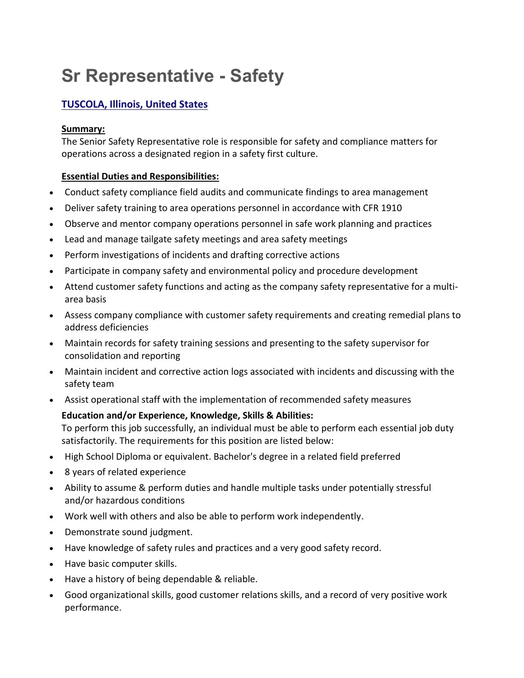# **Sr Representative - Safety**

# **[TUSCOLA,](https://energytransfer.referrals.selectminds.com/jobs/6843/other-jobs-matching/location-only) Illinois, United States**

#### **Summary:**

The Senior Safety Representative role is responsible for safety and compliance matters for operations across a designated region in a safety first culture.

#### **Essential Duties and Responsibilities:**

- Conduct safety compliance field audits and communicate findings to area management
- Deliver safety training to area operations personnel in accordance with CFR 1910
- Observe and mentor company operations personnel in safe work planning and practices
- Lead and manage tailgate safety meetings and area safety meetings
- Perform investigations of incidents and drafting corrective actions
- Participate in company safety and environmental policy and procedure development
- Attend customer safety functions and acting as the company safety representative for a multiarea basis
- Assess company compliance with customer safety requirements and creating remedial plans to address deficiencies
- Maintain records for safety training sessions and presenting to the safety supervisor for consolidation and reporting
- Maintain incident and corrective action logs associated with incidents and discussing with the safety team
- Assist operational staff with the implementation of recommended safety measures

## **Education and/or Experience, Knowledge, Skills & Abilities:**

To perform this job successfully, an individual must be able to perform each essential job duty satisfactorily. The requirements for this position are listed below:

- High School Diploma or equivalent. Bachelor's degree in a related field preferred
- 8 years of related experience
- Ability to assume & perform duties and handle multiple tasks under potentially stressful and/or hazardous conditions
- Work well with others and also be able to perform work independently.
- Demonstrate sound judgment.
- Have knowledge of safety rules and practices and a very good safety record.
- Have basic computer skills.
- Have a history of being dependable & reliable.
- Good organizational skills, good customer relations skills, and a record of very positive work performance.